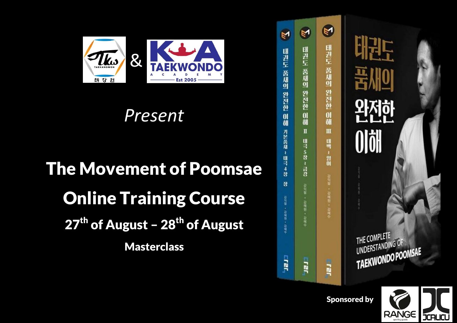

## *Present*

## The Movement of Poomsae Online Training Course 27<sup>th</sup> of August – 28<sup>th</sup> of August **Masterclass**

| ٣<br>태권도 품새의 완전한 이해 기본품새 ~ 태극 4장<br>잠<br>2021期 · 在前期 · 各制中 | N<br>태권도 품새의 완전한 이해 Ⅱ<br>태극 5장 ~ 금강<br>召回盟 ・召録型 ・召刺伞 | Y<br>태권도 품새의 완전한 이해 표<br>印明 ~ 20日<br>召回国, 召寻君, 召刘令 | 태권도<br>품세의<br><b>와전한</b><br><b>OlöH</b><br>SHEET - 2014 12:02 |
|------------------------------------------------------------|------------------------------------------------------|----------------------------------------------------|---------------------------------------------------------------|
| <b>HEIL</b>                                                | 급                                                    | <u>ה</u>                                           | THE COMPLETE<br>UNDERSTANDING OF<br>TAEKWONDO POOMSAE         |

Sponsored by

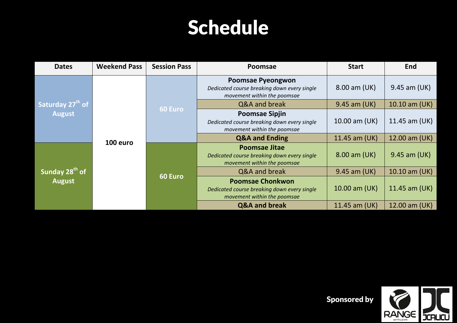## Schedule

| <b>Dates</b>                                  | <b>Weekend Pass</b>                                                                                                                                                                                                              | <b>Session Pass</b> | <b>Poomsae</b>                                                                                         | <b>Start</b>  | <b>End</b>                    |
|-----------------------------------------------|----------------------------------------------------------------------------------------------------------------------------------------------------------------------------------------------------------------------------------|---------------------|--------------------------------------------------------------------------------------------------------|---------------|-------------------------------|
|                                               |                                                                                                                                                                                                                                  |                     | <b>Poomsae Pyeongwon</b><br>Dedicated course breaking down every single<br>movement within the poomsae | 8.00 am (UK)  | 9.45 am (UK)<br>10.10 am (UK) |
| Saturday 27 <sup>th</sup> of<br><b>August</b> |                                                                                                                                                                                                                                  | <b>60 Euro</b>      | Q&A and break                                                                                          | 9.45 am (UK)  |                               |
|                                               |                                                                                                                                                                                                                                  |                     | <b>Poomsae Sipjin</b><br>Dedicated course breaking down every single<br>movement within the poomsae    | 10.00 am (UK) | 11.45 am (UK)                 |
|                                               |                                                                                                                                                                                                                                  |                     | <b>Q&amp;A and Ending</b>                                                                              | 11.45 am (UK) | 12.00 am (UK)                 |
|                                               | 100 euro<br><b>Poomsae Jitae</b><br>Dedicated course breaking down every single<br>movement within the poomsae<br>Q&A and break<br>60 Euro<br><b>Poomsae Chonkwon</b><br>movement within the poomsae<br><b>Q&amp;A and break</b> | 8.00 am (UK)        | 9.45 am (UK)                                                                                           |               |                               |
| Sunday 28 <sup>th</sup> of                    |                                                                                                                                                                                                                                  |                     |                                                                                                        | 9.45 am (UK)  | $10.10$ am (UK)               |
| <b>August</b>                                 |                                                                                                                                                                                                                                  |                     | Dedicated course breaking down every single                                                            | 10.00 am (UK) | 11.45 am (UK)                 |
|                                               |                                                                                                                                                                                                                                  |                     |                                                                                                        | 11.45 am (UK) | 12.00 am (UK)                 |



Sponsored by